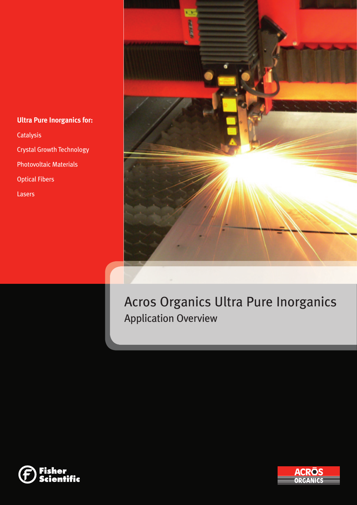# **Ultra Pure Inorganics for: Catalysis**

Crystal Growth Technology

Photovoltaic Materials

Optical Fibers

Lasers



Acros Organics Ultra Pure Inorganics Application Overview



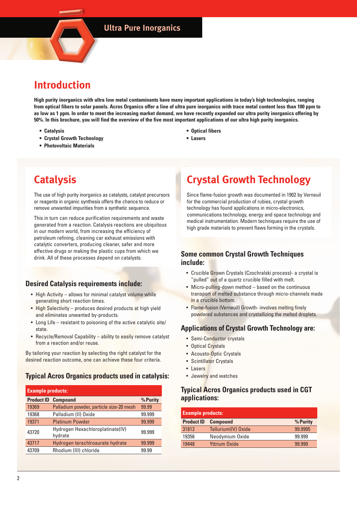# **Introduction**

**High purity inorganics with ultra low metal contaminants have many important applications in today's high technologies, ranging from optical fibers to solar panels. Acros Organics offer a line of ultra pure inorganics with trace metal content less than 100 ppm to as low as 1 ppm. In order to meet the increasing market demand, we have recently expanded our ultra purity inorganics offering by 50%. In this brochure, you will find the overview of the five most important applications of our ultra high purity inorganics.**

- **Catalysis**
- **Crystal Growth Technology**
- **Photovoltaic Materials**

## **• Optical fibers**

**• Lasers**

# **Catalysis**

The use of high purity inorganics as catalysts, catalyst precursors or reagents in organic synthesis offers the chance to reduce or remove unwanted impurities from a synthetic sequence.

This in turn can reduce purification requirements and waste generated from a reaction. Catalysis reactions are ubiquitous in our modern world, from increasing the efficiency of petroleum refining, cleaning car exhaust emissions with catalytic converters, producing cleaner, safer and more effective drugs or making the plastic cups from which we drink. All of these processes depend on catalysts.

# **Desired Catalysis requirements include:**

- High Activity allows for minimal catalyst volume while generating short reaction times.
- High Selectivity produces desired products at high yield and eliminates unwanted by-products.
- Long Life resistant to poisoning of the active catalytic site/ state.
- Recycle/Removal Capability ability to easily remove catalyst from a reaction and/or reuse.

By tailoring your reaction by selecting the right catalyst for the desired reaction outcome, one can achieve these four criteria.

# **Typical Acros Organics products used in catalysis:**

| <b>Example products:</b> |                                             |          |  |
|--------------------------|---------------------------------------------|----------|--|
| <b>Product ID</b>        | <b>Compound</b>                             | % Purity |  |
| 19369                    | Palladium powder, particle size-20 mesh     | 99.99    |  |
| 19368                    | Palladium (II) Oxide                        | 99.999   |  |
| 19371                    | <b>Platinum Powder</b>                      | 99.999   |  |
| 43720                    | Hydrogen Hexachloroplatinate(IV)<br>hydrate | 99.999   |  |
| 43717                    | Hydrogen terachlroaurate hydrate            | 99.999   |  |
| 43709                    | Rhodium (III) chloride                      | 99.99    |  |

# **Crystal Growth Technology**

Since flame-fusion growth was documented in 1902 by Verneuil for the commercial production of rubies, crystal growth technology has found applications in micro-electronics, communications technology, energy and space technology and medical instrumentation. Modern techniques require the use of high grade materials to prevent flaws forming in the crystals.

# **Some common Crystal Growth Techniques include:**

- Crucible Grown Crystals (Czochralski process)- a crystal is "pulled" out of a quartz crucible filled with melt.
- Micro-pulling-down method based on the continuous transport of melted substance through micro-channels made in a crucible bottom.
- Flame-fusion (Verneuil) Growth- involves melting finely powdered substances and crystallizing the melted droplets.

# **Applications of Crystal Growth Technology are:**

- Semi-Conductor crystals
- Optical Crystals
- Acousto-Optic Crystals
- Scintillator Crystals
- Lasers
- Jewelry and watches

# **Typical Acros Organics products used in CGT applications:**

| <b>Example products:</b> |                      |          |  |
|--------------------------|----------------------|----------|--|
| <b>Product ID</b>        | <b>Compound</b>      | % Purity |  |
| 31812                    | Tellurium(IV) Oxide  | 99.9995  |  |
| 19356                    | Neodymium Oxide      | 99.999   |  |
| 19448                    | <b>Yttrium Oxide</b> | 99.999   |  |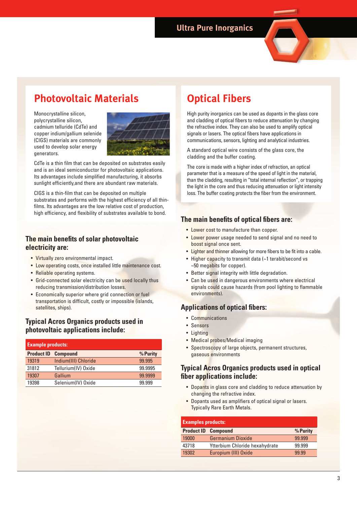# **Photovoltaic Materials**

Monocrystalline silicon, polycrystalline silicon, cadmium telluride (CdTe) and copper indium/gallium selenide (CIGS) materials are commonly used to develop solar energy generators.



CdTe is a thin film that can be deposited on substrates easily and is an ideal semiconductor for photovoltaic applications. Its advantages include simplified manufacturing, it absorbs sunlight efficiently,and there are abundant raw materials.

CIGS is a thin-film that can be deposited on multiple substrates and performs with the highest efficiency of all thinfilms. Its advantages are the low relative cost of production, high efficiency, and flexibility of substrates available to bond.

# **The main benefits of solar photovoltaic electricity are:**

- Virtually zero environmental impact.
- Low operating costs, once installed little maintenance cost.
- Reliable operating systems.
- Grid-connected solar electricity can be used locally thus reducing transmission/distribution losses.
- Economically superior where grid connection or fuel transportation is difficult, costly or impossible (islands, satellites, ships).

# **Typical Acros Organics products used in photovoltaic applications include:**

| <b>Example products:</b> |                      |          |  |
|--------------------------|----------------------|----------|--|
| <b>Product ID</b>        | <b>Compound</b>      | % Purity |  |
| 19319                    | Indium(III) Chloride | 99.995   |  |
| 31812                    | Tellurium(IV) Oxide  | 99.9995  |  |
| 19307                    | Gallium              | 99.9999  |  |
| 19398                    | Selenium(IV) Oxide   | 99.999   |  |

# **Optical Fibers**

High purity inorganics can be used as dopants in the glass core and cladding of optical fibers to reduce attenuation by changing the refractive index. They can also be used to amplify optical signals or lasers. The optical fibers have applications in communications, sensors, lighting and analytical industries.

A standard optical wire consists of the glass core, the cladding and the buffer coating.

The core is made with a higher index of refraction, an optical parameter that is a measure of the speed of light in the material, than the cladding, resulting in "total internal reflection", or trapping the light in the core and thus reducing attenuation or light intensity loss. The buffer coating protects the fiber from the environment.

# **The main benefits of optical fibers are:**

- Lower cost to manufacture than copper.
- Lower power usage needed to send signal and no need to boost signal once sent.
- Lighter and thinner allowing for more fibers to be fit into a cable.
- Higher capacity to transmit data (~1 terabit/second vs ~50 megabits for copper).
- Better signal integrity with little degradation.
- Can be used in dangerous environments where electrical signals could cause hazards (from pool lighting to flammable environments).

# **Applications of optical fibers:**

- Communications
- Sensors
- Lighting
- Medical probes/Medical imaging
- Spectroscopy of large objects, permanent structures, gaseous environments

# **Typical Acros Organics products used in optical fi ber applications include:**

- Dopants in glass core and cladding to reduce attenuation by changing the refractive index.
- Dopants used as amplifiers of optical signal or lasers. Typically Rare Earth Metals.

| <b>Examples products:</b> |                                |          |  |
|---------------------------|--------------------------------|----------|--|
|                           | <b>Product ID Compound</b>     | % Purity |  |
| 19000                     | <b>Germanium Dioxide</b>       | 99.999   |  |
| 43718                     | Ytterbium Chloride hexahydrate | 99.999   |  |
| 19302                     | Europium (III) Oxide           | 99.99    |  |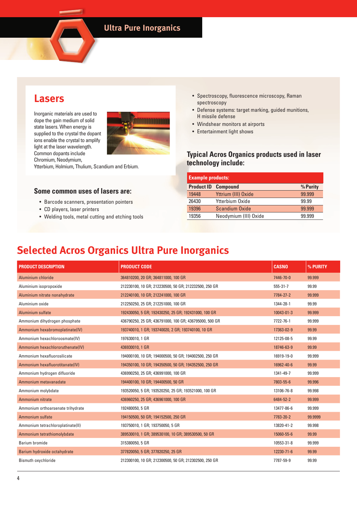# **Lasers**

Inorganic materials are used to dope the gain medium of solid state lasers. When energy is supplied to the crystal the dopant ions enable the crystal to amplify light at the laser wavelength. Common dopants include Chromium, Neodymium,



Ytterbium, Holmium, Thulium, Scandium and Erbium.

## **Some common uses of lasers are:**

- Barcode scanners, presentation pointers
- CD players, laser printers
- Welding tools, metal cutting and etching tools
- Spectroscopy, fluorescence microscopy, Raman spectroscopy
- Defense systems: target marking, guided munitions, H missile defense
- Windshear monitors at airports
- Entertainment light shows

# **Typical Acros Organics products used in laser technology include:**

| <b>Example products:</b> |                            |          |  |
|--------------------------|----------------------------|----------|--|
|                          | <b>Product ID Compound</b> | % Purity |  |
| 19448                    | Yttrium (III) Oxide        | 99.999   |  |
| 26430                    | Ytterbium Oxide            | 99.99    |  |
| 19396                    | <b>Scandium Oxide</b>      | 99.999   |  |
| 19356                    | Neodymium (III) Oxide      | 99.999   |  |

# **Selected Acros Organics Ultra Pure Inorganics**

| <b>PRODUCT DESCRIPTION</b>        | <b>PRODUCT CODE</b>                                    | <b>CASNO</b>   | % PURITY |
|-----------------------------------|--------------------------------------------------------|----------------|----------|
| Aluminium chloride                | 364810200, 20 GR; 364811000, 100 GR                    | 7446-70-0      | 99.999   |
| Aluminium isopropoxide            | 212230100, 10 GR; 212230500, 50 GR; 212232500, 250 GR  | $555 - 31 - 7$ | 99.99    |
| Aluminium nitrate nonahydrate     | 212240100, 10 GR; 212241000, 100 GR                    | 7784-27-2      | 99.999   |
| Aluminium oxide                   | 212250250, 25 GR; 212251000, 100 GR                    | 1344-28-1      | 99.99    |
| Aluminium sulfate                 | 192430050, 5 GR; 192430250, 25 GR; 192431000, 100 GR   | 10043-01-3     | 99.999   |
| Ammonium dihydrogen phosphate     | 436790250, 25 GR; 436791000, 100 GR; 436795000, 500 GR | 7722-76-1      | 99.999   |
| Ammonium hexabromoplatinate(IV)   | 193740010, 1 GR; 193740020, 2 GR; 193740100, 10 GR     | 17363-02-9     | 99.99    |
| Ammonium hexachloroosmate(IV)     | 197630010, 1 GR                                        | 12125-08-5     | 99.99    |
| Ammonium hexachlororuthenate(IV)  | 436930010, 1 GR                                        | 18746-63-9     | 99.99    |
| Ammonium hexafluorosilicate       | 194000100, 10 GR; 194000500, 50 GR; 194002500, 250 GR  | 16919-19-0     | 99.999   |
| Ammonium hexafluorotitanate(IV)   | 194350100, 10 GR; 194350500, 50 GR; 194352500, 250 GR  | 16962-40-6     | 99.99    |
| Ammonium hydrogen difluoride      | 436990250, 25 GR; 436991000, 100 GR                    | 1341-49-7      | 99.999   |
| Ammonium metavanadate             | 194400100, 10 GR; 194400500, 50 GR                     | 7803-55-6      | 99.996   |
| Ammonium molybdate                | 193520050, 5 GR; 193520250, 25 GR; 193521000, 100 GR   | 13106-76-8     | 99.998   |
| Ammonium nitrate                  | 436960250, 25 GR; 436961000, 100 GR                    | 6484-52-2      | 99.999   |
| Ammonium orthoarsenate trihydrate | 192480050, 5 GR                                        | 13477-86-6     | 99.999   |
| Ammonium sulfate                  | 194150500, 50 GR; 194152500, 250 GR                    | 7783-20-2      | 99.9999  |
| Ammonium tetrachloroplatinate(II) | 193750010, 1 GR; 193750050, 5 GR                       | 13820-41-2     | 99.998   |
| Ammonium tetrathiomolybdate       | 389530010, 1 GR; 389530100, 10 GR; 389530500, 50 GR    | 15060-55-6     | 99.99    |
| Barium bromide                    | 315380050, 5 GR                                        | 10553-31-8     | 99.999   |
| Barium hydroxide octahydrate      | 377820050, 5 GR; 377820250, 25 GR                      | 12230-71-6     | 99.99    |
| Bismuth oxychloride               | 212300100, 10 GR; 212300500, 50 GR; 212302500, 250 GR  | 7787-59-9      | 99.99    |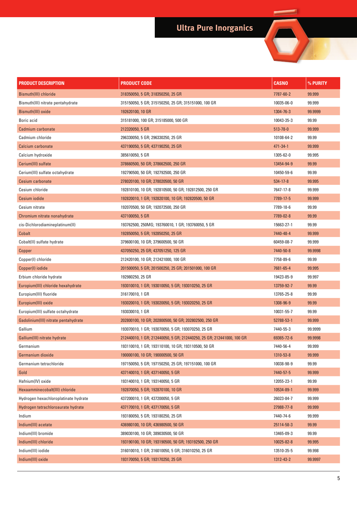# **Ultra Pure Inorganics**

 $\overline{\phantom{0}}$ 

۰

| PRODUCT DESCRIPTION                  | <b>PRODUCT CODE</b>                                                   | <b>CASNO</b>   | % PURITY |
|--------------------------------------|-----------------------------------------------------------------------|----------------|----------|
| Bismuth(III) chloride                | 318350050, 5 GR; 318350250, 25 GR                                     | 7787-60-2      | 99.999   |
| Bismuth(III) nitrate pentahydrate    | 315150050, 5 GR; 315150250, 25 GR; 315151000, 100 GR                  | 10035-06-0     | 99.999   |
| Bismuth(III) oxide                   | 192620100, 10 GR                                                      | 1304-76-3      | 99.9999  |
| Boric acid                           | 315181000, 100 GR; 315185000, 500 GR                                  | 10043-35-3     | 99.99    |
| Cadmium carbonate                    | 212320050, 5 GR                                                       | $513 - 78 - 0$ | 99.999   |
| Cadmium chloride                     | 296330050, 5 GR; 296330250, 25 GR                                     | 10108-64-2     | 99.99    |
| Calcium carbonate                    | 437190050, 5 GR; 437190250, 25 GR                                     | 471-34-1       | 99.999   |
| Calcium hydroxide                    | 385610050, 5 GR                                                       | 1305-62-0      | 99.995   |
| Cerium(III) sulfate                  | 378660500, 50 GR; 378662500, 250 GR                                   | 13454-94-9     | 99.99    |
| Cerium(III) sulfate octahydrate      | 192790500, 50 GR; 192792500, 250 GR                                   | 10450-59-6     | 99.99    |
| Cesium carbonate                     | 278020100, 10 GR; 278020500, 50 GR                                    | $534 - 17 - 8$ | 99.995   |
| Cesium chloride                      | 192810100, 10 GR; 192810500, 50 GR; 192812500, 250 GR                 | 7647-17-8      | 99.999   |
| Cesium iodide                        | 192820010, 1 GR; 192820100, 10 GR; 192820500, 50 GR                   | 7789-17-5      | 99.999   |
| Cesium nitrate                       | 192070500, 50 GR; 192072500, 250 GR                                   | 7789-18-6      | 99.99    |
| Chromium nitrate nonahydrate         | 437100050, 5 GR                                                       | 7789-02-8      | 99.99    |
| cis-Dichlorodiamineplatinum(II)      | 193762500, 250MG; 193760010, 1 GR; 193760050, 5 GR                    | 15663-27-1     | 99.99    |
| Cobalt                               | 192850050, 5 GR; 192850250, 25 GR                                     | 7440-48-4      | 99.999   |
| Cobalt(II) sulfate hydrate           | 379600100, 10 GR; 379600500, 50 GR                                    | 60459-08-7     | 99.999   |
| Copper                               | 437050250, 25 GR; 437051250, 125 GR                                   | 7440-50-8      | 99.9998  |
| Copper(I) chloride                   | 212420100, 10 GR; 212421000, 100 GR                                   | 7758-89-6      | 99.99    |
| Copper(I) iodide                     | 201500050, 5 GR; 201500250, 25 GR; 201501000, 100 GR                  | 7681-65-4      | 99.995   |
| Erbium chloride hydrate              | 192980250, 25 GR                                                      | 19423-85-9     | 99.997   |
| Europium(III) chloride hexahydrate   | 193010010, 1 GR; 193010050, 5 GR; 193010250, 25 GR                    | 13759-92-7     | 99.99    |
| Europium(III) fluoride               | 316170010, 1 GR                                                       | 13765-25-8     | 99.99    |
| Europium(III) oxide                  | 193020010, 1 GR; 193020050, 5 GR; 193020250, 25 GR                    | 1308-96-9      | 99.99    |
| Europium(III) sulfate octahydrate    | 193030010, 1 GR                                                       | 10031-55-7     | 99.99    |
| Gadolinium(III) nitrate pentahydrate | 202800100, 10 GR; 202800500, 50 GR; 202802500, 250 GR                 | 52788-53-1     | 99.999   |
| Gallium                              | 193070010, 1 GR; 193070050, 5 GR; 193070250, 25 GR                    | 7440-55-3      | 99.9999  |
| Gallium(III) nitrate hydrate         | 212440010, 1 GR; 212440050, 5 GR; 212440250, 25 GR; 212441000, 100 GR | 69365-72-6     | 99.9998  |
| Germanium                            | 193110010, 1 GR; 193110100, 10 GR; 193110500, 50 GR                   | 7440-56-4      | 99.999   |
| Germanium dioxide                    | 190000100, 10 GR; 190000500, 50 GR                                    | 1310-53-8      | 99.999   |
| Germanium tetrachloride              | 197150050, 5 GR; 197150250, 25 GR; 197151000, 100 GR                  | 10038-98-9     | 99.99    |
| Gold                                 | 437140010, 1 GR; 437140050, 5 GR                                      | 7440-57-5      | 99.999   |
| Hafnium(IV) oxide                    | 193140010, 1 GR; 193140050, 5 GR                                      | 12055-23-1     | 99.99    |
| Hexaamminecobalt(III) chloride       | 192870050, 5 GR; 192870100, 10 GR                                     | 10534-89-1     | 99.999   |
| Hydrogen hexachloroplatinate hydrate | 437200010, 1 GR; 437200050, 5 GR                                      | 26023-84-7     | 99.999   |
| Hydrogen tetrachloroaurate hydrate   | 437170010, 1 GR; 437170050, 5 GR                                      | 27988-77-8     | 99.999   |
| Indium                               | 193180050, 5 GR; 193180250, 25 GR                                     | 7440-74-6      | 99.999   |
| Indium(III) acetate                  | 436980100, 10 GR; 436980500, 50 GR                                    | 25114-58-3     | 99.99    |
| Indium(III) bromide                  | 389030100, 10 GR; 389030500, 50 GR                                    | 13465-09-3     | 99.99    |
| Indium(III) chloride                 | 193190100, 10 GR; 193190500, 50 GR; 193192500, 250 GR                 | 10025-82-8     | 99.995   |
| Indium(III) iodide                   | 316010010, 1 GR; 316010050, 5 GR; 316010250, 25 GR                    | 13510-35-5     | 99.998   |
| Indium(III) oxide                    | 193170050, 5 GR; 193170250, 25 GR                                     | 1312-43-2      | 99.9997  |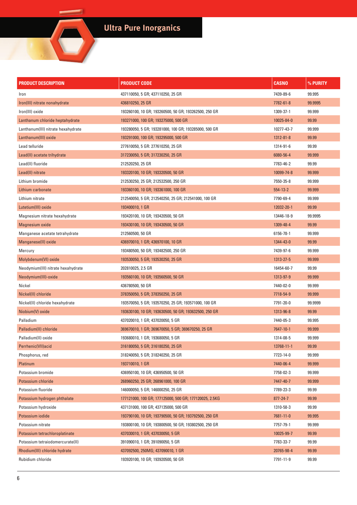# **Ultra Pure Inorganics**

 $\overline{\phantom{0}}$ 

| <b>PRODUCT DESCRIPTION</b>         | <b>PRODUCT CODE</b>                                    | <b>CASNO</b>   | % PURITY |
|------------------------------------|--------------------------------------------------------|----------------|----------|
| Iron                               | 437110050, 5 GR; 437110250, 25 GR                      | 7439-89-6      | 99.995   |
| Iron(III) nitrate nonahydrate      | 436810250, 25 GR                                       | 7782-61-8      | 99.9995  |
| Iron(III) oxide                    | 193260100, 10 GR; 193260500, 50 GR; 193262500, 250 GR  | 1309-37-1      | 99.999   |
| Lanthanum chloride heptahydrate    | 193271000, 100 GR; 193275000, 500 GR                   | 10025-84-0     | 99.99    |
| Lanthanum(III) nitrate hexahydrate | 193280050, 5 GR; 193281000, 100 GR; 193285000, 500 GR  | 10277-43-7     | 99.999   |
| Lanthanum(III) oxide               | 193291000, 100 GR; 193295000, 500 GR                   | 1312-81-8      | 99.99    |
| Lead telluride                     | 277610050, 5 GR: 277610250, 25 GR                      | 1314-91-6      | 99.99    |
| Lead(II) acetate trihydrate        | 317230050, 5 GR; 317230250, 25 GR                      | 6080-56-4      | 99.999   |
| Lead(II) fluoride                  | 212520250, 25 GR                                       | 7783-46-2      | 99.99    |
| Lead(II) nitrate                   | 193320100, 10 GR; 193320500, 50 GR                     | 10099-74-8     | 99.999   |
| Lithium bromide                    | 212530250, 25 GR; 212532500, 250 GR                    | 7550-35-8      | 99.999   |
| Lithium carbonate                  | 193360100, 10 GR; 193361000, 100 GR                    | $554 - 13 - 2$ | 99.999   |
| Lithium nitrate                    | 212540050, 5 GR; 212540250, 25 GR; 212541000, 100 GR   | 7790-69-4      | 99.999   |
| Lutetium(III) oxide                | 193400010, 1 GR                                        | 12032-20-1     | 99.99    |
| Magnesium nitrate hexahydrate      | 193420100, 10 GR; 193420500, 50 GR                     | 13446-18-9     | 99.9995  |
| Magnesium oxide                    | 193430100, 10 GR; 193430500, 50 GR                     | 1309-48-4      | 99.99    |
| Manganese acetate tetrahydrate     | 212560500, 50 GR                                       | 6156-78-1      | 99.999   |
| Manganese(II) oxide                | 436970010, 1 GR; 436970100, 10 GR                      | 1344-43-0      | 99.99    |
| Mercury                            | 193480500, 50 GR; 193482500, 250 GR                    | 7439-97-6      | 99.999   |
| Molybdenum(VI) oxide               | 193530050, 5 GR; 193530250, 25 GR                      | 1313-27-5      | 99.999   |
| Neodymium(III) nitrate hexahydrate | 202810025, 2.5 GR                                      | 16454-60-7     | 99.99    |
| Neodymium(III)-oxide               | 193560100, 10 GR; 193560500, 50 GR                     | 1313-97-9      | 99.999   |
| Nickel                             | 436780500, 50 GR                                       | 7440-02-0      | 99.999   |
| Nickel(II) chloride                | 378350050, 5 GR; 378350250, 25 GR                      | 7718-54-9      | 99.999   |
| Nickel(II) chloride hexahydrate    | 193570050, 5 GR; 193570250, 25 GR; 193571000, 100 GR   | 7791-20-0      | 99.9999  |
| Niobium(V) oxide                   | 193630100, 10 GR; 193630500, 50 GR; 193632500, 250 GR  | 1313-96-8      | 99.99    |
| Palladium                          | 437020010, 1 GR; 437020050, 5 GR                       | 7440-05-3      | 99.995   |
| Palladium(II) chloride             | 369670010, 1 GR; 369670050, 5 GR; 369670250, 25 GR     | 7647-10-1      | 99.999   |
| Palladium(II) oxide                | 193680010, 1 GR; 193680050, 5 GR                       | 1314-08-5      | 99.999   |
| Perrhenic(VII)acid                 | 316180050, 5 GR; 316180250, 25 GR                      | 13768-11-1     | 99.99    |
| Phosphorus, red                    | 318240050, 5 GR; 318240250, 25 GR                      | 7723-14-0      | 99.999   |
| Platinum                           | 193710010, 1 GR                                        | 7440-06-4      | 99.999   |
| Potassium bromide                  | 436950100, 10 GR; 436950500, 50 GR                     | 7758-02-3      | 99.999   |
| Potassium chloride                 | 268960250, 25 GR; 268961000, 100 GR                    | 7447-40-7      | 99.999   |
| Potassium fluoride                 | 146000050, 5 GR; 146000250, 25 GR                      | 7789-23-3      | 99.99    |
| Potassium hydrogen phthalate       | 177121000, 100 GR; 177125000, 500 GR; 177120025, 2.5KG | $877 - 24 - 7$ | 99.99    |
| Potassium hydroxide                | 437131000, 100 GR; 437135000, 500 GR                   | 1310-58-3      | 99.99    |
| Potassium iodide                   | 193790100, 10 GR; 193790500, 50 GR; 193792500, 250 GR  | 7681-11-0      | 99.995   |
| Potassium nitrate                  | 193800100, 10 GR; 193800500, 50 GR; 193802500, 250 GR  | 7757-79-1      | 99.999   |
| Potassium tetrachloroplatinate     | 437030010, 1 GR; 437030050, 5 GR                       | 10025-99-7     | 99.99    |
| Potassium tetraiodomercurate(II)   | 391090010, 1 GR; 391090050, 5 GR                       | 7783-33-7      | 99.99    |
| Rhodium(III) chloride hydrate      | 437092500, 250MG; 437090010, 1 GR                      | 20765-98-4     | 99.99    |
| Rubidium chloride                  | 193920100, 10 GR; 193920500, 50 GR                     | 7791-11-9      | 99.99    |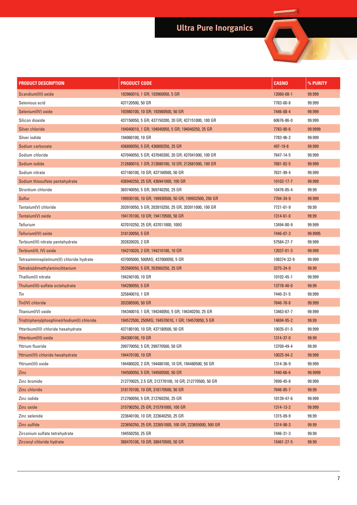# **Ultra Pure Inorganics**

 $\overline{\phantom{0}}$ 

۰

| <b>PRODUCT DESCRIPTION</b>                  | <b>PRODUCT CODE</b>                                    | <b>CASNO</b> | % PURITY |
|---------------------------------------------|--------------------------------------------------------|--------------|----------|
| Scandium(III) oxide                         | 193960010, 1 GR; 193960050, 5 GR                       | 12060-08-1   | 99.999   |
| Selenious acid                              | 437120500, 50 GR                                       | 7783-00-8    | 99.999   |
| Selenium(IV) oxide                          | 193980100, 10 GR; 193980500, 50 GR                     | 7446-08-4    | 99.999   |
| Silicon dioxide                             | 437150050, 5 GR; 437150200, 20 GR; 437151000, 100 GR   | 60676-86-0   | 99.999   |
| Silver chloride                             | 194040010, 1 GR; 194040050, 5 GR; 194040250, 25 GR     | 7783-90-6    | 99.9999  |
| Silver iodide                               | 194060100, 10 GR                                       | 7783-96-2    | 99.999   |
| Sodium carbonate                            | 436800050, 5 GR; 436800250, 25 GR                      | 497-19-8     | 99.999   |
| Sodium chloride                             | 437040050, 5 GR; 437040200, 20 GR; 437041000, 100 GR   | 7647-14-5    | 99.999   |
| Sodium iodide                               | 212680010, 1 GR; 212680100, 10 GR; 212681000, 100 GR   | 7681-82-5    | 99.999   |
| Sodium nitrate                              | 437160100, 10 GR; 437160500, 50 GR                     | 7631-99-4    | 99.999   |
| Sodium thiosulfate pentahydrate             | 436940250, 25 GR; 436941000, 100 GR                    | 10102-17-7   | 99.999   |
| Strontium chloride                          | 369740050, 5 GR; 369740250, 25 GR                      | 10476-85-4   | 99.99    |
| Sulfur                                      | 199930100, 10 GR; 199930500, 50 GR; 199932500, 250 GR  | 7704-34-9    | 99.999   |
| Tantalum(V) chloride                        | 203910050, 5 GR; 203910250, 25 GR; 203911000, 100 GR   | 7721-01-9    | 99.99    |
| Tantalum(V) oxide                           | 194170100, 10 GR; 194170500, 50 GR                     | 1314-61-0    | 99.99    |
| Tellurium                                   | 437010250, 25 GR; 437011000, 100G                      | 13494-80-9   | 99.999   |
| Tellurium(IV) oxide                         | 318120050, 5 GR                                        | 7446-07-3    | 99.9995  |
| Terbium(III) nitrate pentahydrate           | 202820020, 2 GR                                        | 57584-27-7   | 99.999   |
| Terbium(III, IV) oxide                      | 194210020, 2 GR; 194210100, 10 GR                      | 12037-01-3   | 99.999   |
| Tetraammineplatinum(II) chloride hydrate    | 437005000, 500MG; 437000050, 5 GR                      | 108374-32-9  | 99.999   |
| Tetrakis(dimethylamino)titanium             | 353560050, 5 GR; 353560250, 25 GR                      | 3275-24-9    | 99.99    |
| Thallium(I) nitrate                         | 194240100, 10 GR                                       | 10102-45-1   | 99.999   |
| Thulium(III)-sulfate octahydrate            | 194290050, 5 GR                                        | 13778-40-0   | 99.99    |
| Tin                                         | 325840010, 1 GR                                        | 7440-31-5    | 99.999   |
| Tin(IV) chloride                            | 203380500, 50 GR                                       | 7646-78-8    | 99.999   |
| Titanium(IV) oxide                          | 194340010, 1 GR; 194340050, 5 GR; 194340250, 25 GR     | 13463-67-7   | 99.999   |
| Tris(triphenylphosphine)rhodium(I) chloride | 194572500, 250MG; 194570010, 1 GR; 194570050, 5 GR     | 14694-95-2   | 99.99    |
| Ytterbium(III) chloride hexahydrate         | 437180100, 10 GR; 437180500, 50 GR                     | 10035-01-5   | 99.999   |
| Ytterbium(III) oxide                        | 264300100, 10 GR                                       | 1314-37-0    | 99.99    |
| Yttrium fluoride                            | 299770050, 5 GR; 299770500, 50 GR                      | 13709-49-4   | 99.99    |
| Yttrium(III) chloride hexahydrate           | 194470100, 10 GR                                       | 10025-94-2   | 99.999   |
| Yttrium(III) oxide                          | 194480020, 2 GR; 194480100, 10 GR; 194480500, 50 GR    | 1314-36-9    | 99.999   |
| Zinc                                        | 194500050, 5 GR; 194500500, 50 GR                      | 7440-66-6    | 99.9999  |
| Zinc bromide                                | 212770025, 2.5 GR; 212770100, 10 GR; 212770500, 50 GR  | 7699-45-8    | 99.999   |
| Zinc chloride                               | 318170100, 10 GR; 318170500, 50 GR                     | 7646-85-7    | 99.99    |
| Zinc iodide                                 | 212760050, 5 GR; 212760250, 25 GR                      | 10139-47-6   | 99.999   |
| Zinc oxide                                  | 315790250, 25 GR; 315791000, 100 GR                    | 1314-13-2    | 99.999   |
| Zinc selenide                               | 223640100, 10 GR; 223640250, 25 GR                     | 1315-09-9    | 99.99    |
| Zinc sulfide                                | 223650250, 25 GR; 223651000, 100 GR; 223655000, 500 GR | 1314-98-3    | 99.99    |
| Zirconium sulfate tetrahydrate              | 194550250, 25 GR                                       | 7446-31-3    | 99.99    |
| Zirconyl chloride hydrate                   | 388470100, 10 GR; 388470500, 50 GR                     | 15461-27-5   | 99.99    |